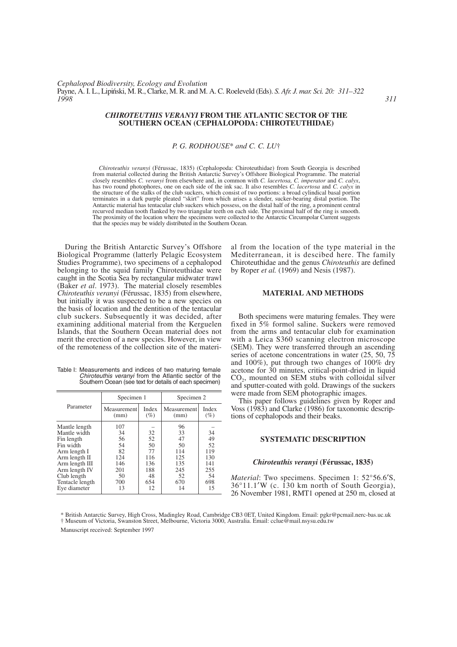## *CHIROTEUTHIS VERANYI* **FROM THE ATLANTIC SECTOR OF THE SOUTHERN OCEAN (CEPHALOPODA: CHIROTEUTHIDAE)**

# *P. G. RODHOUSE*\* *and C. C. LU*†

*Chiroteuthis veranyi* (Férussac, 1835) (Cephalopoda: Chiroteuthidae) from South Georgia is described from material collected during the British Antarctic Survey's Offshore Biological Programme. The material closely resembles *C. veranyi* from elsewhere and, in common with *C. lacertosa, C. imperator* and *C. calyx*, has two round photophores, one on each side of the ink sac. It also resembles *C. lacertosa* and *C. calyx* in the structure of the stalks of the club suckers, which consist of two portions: a broad cylindical basal portion terminates in a dark purple pleated "skirt" from which arises a slender, sucker-bearing distal portion. The Antarctic material has tentacular club suckers which possess, on the distal half of the ring, a prominent central recurved median tooth flanked by two triangular teeth on each side. The proximal half of the ring is smooth. The proximity of the location where the specimens were collected to the Antarctic Circumpolar Current suggests that the species may be widely distributed in the Southern Ocean.

During the British Antarctic Survey's Offshore Biological Programme (latterly Pelagic Ecosystem Studies Programme), two specimens of a cephalopod belonging to the squid family Chiroteuthidae were caught in the Scotia Sea by rectangular midwater trawl (Baker *et al*. 1973). The material closely resembles *Chiroteuthis veranyi* (Férussac, 1835) from elsewhere, but initially it was suspected to be a new species on the basis of location and the dentition of the tentacular club suckers. Subsequently it was decided, after examining additional material from the Kerguelen Islands, that the Southern Ocean material does not merit the erection of a new species. However, in view of the remoteness of the collection site of the materi-

| Table I: Measurements and indices of two maturing female    |
|-------------------------------------------------------------|
| <i>Chiroteuthis veranyi</i> from the Atlantic sector of the |
| Southern Ocean (see text for details of each specimen)      |

|                                                                                                                                                                                | Specimen 1                                                          |                                                              | Specimen 2                                                          |                                                               |
|--------------------------------------------------------------------------------------------------------------------------------------------------------------------------------|---------------------------------------------------------------------|--------------------------------------------------------------|---------------------------------------------------------------------|---------------------------------------------------------------|
| Parameter                                                                                                                                                                      | Measurement<br>(mm)                                                 | Index<br>$(\%)$                                              | Measurement<br>(mm)                                                 | Index<br>$(\%)$                                               |
| Mantle length<br>Mantle width<br>Fin length<br>Fin width<br>Arm length I<br>Arm length II<br>Arm length III<br>Arm length IV<br>Club length<br>Tentacle length<br>Eye diameter | 107<br>34<br>56<br>54<br>82<br>124<br>146<br>201<br>50<br>700<br>13 | 32<br>52<br>50<br>77<br>116<br>136<br>188<br>48<br>654<br>12 | 96<br>33<br>47<br>50<br>114<br>125<br>135<br>245<br>52<br>670<br>14 | 34<br>49<br>52<br>119<br>130<br>141<br>255<br>54<br>698<br>15 |

al from the location of the type material in the Mediterranean, it is descibed here. The family Chiroteuthidae and the genus *Chiroteuthis* are defined by Roper *et al.* (1969) and Nesis (1987).

## **MATERIAL AND METHODS**

Both specimens were maturing females. They were fixed in 5% formol saline. Suckers were removed from the arms and tentacular club for examination with a Leica S360 scanning electron microscope (SEM). They were transferred through an ascending series of acetone concentrations in water (25, 50, 75) and 100%), put through two changes of 100% dry acetone for 30 minutes, critical-point-dried in liquid  $CO<sub>2</sub>$ , mounted on SEM stubs with colloidal silver and sputter-coated with gold. Drawings of the suckers were made from SEM photographic images.

This paper follows guidelines given by Roper and Voss (1983) and Clarke (1986) for taxonomic descriptions of cephalopods and their beaks.

## **SYSTEMATIC DESCRIPTION**

#### *Chiroteuthis veranyi* **(Férussac, 1835)**

*Material*: Two specimens. Specimen 1: 52°56.6'S, 36°11.1′W (c. 130 km north of South Georgia), 26 November 1981, RMT1 opened at 250 m, closed at

\* British Antarctic Survey, High Cross, Madingley Road, Cambridge CB3 0ET, United Kingdom. Email: pgkr@pcmail.nerc-bas.uc.uk † Museum of Victoria, Swanston Street, Melbourne, Victoria 3000, Australia. Email: cclue@mail.nsysu.edu.tw

Manuscript received: September 1997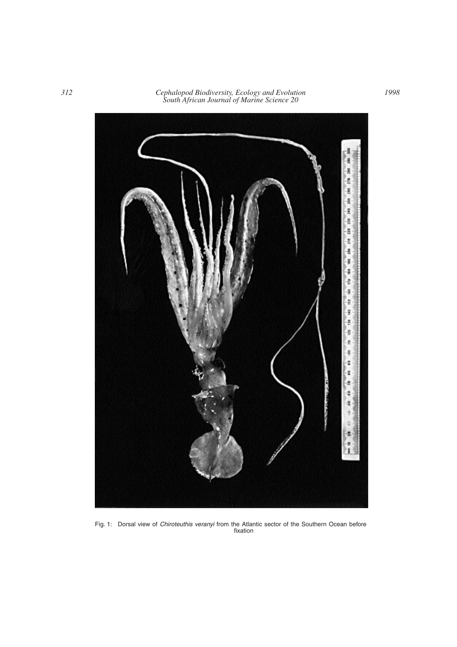

Fig. 1: Dorsal view of *Chiroteuthis veranyi* from the Atlantic sector of the Southern Ocean before fixation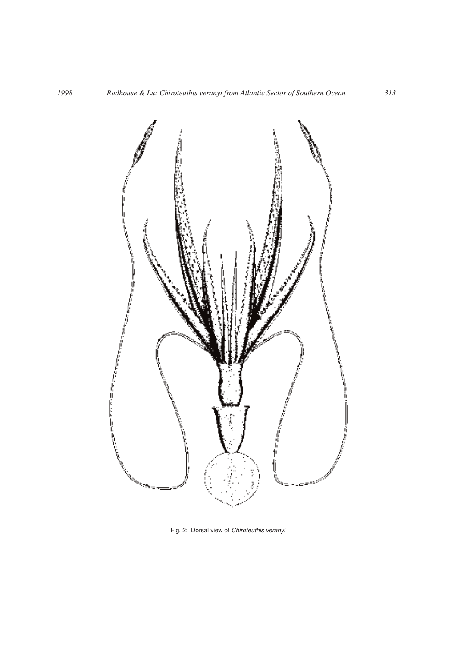

Fig. 2: Dorsal view of *Chiroteuthis veranyi*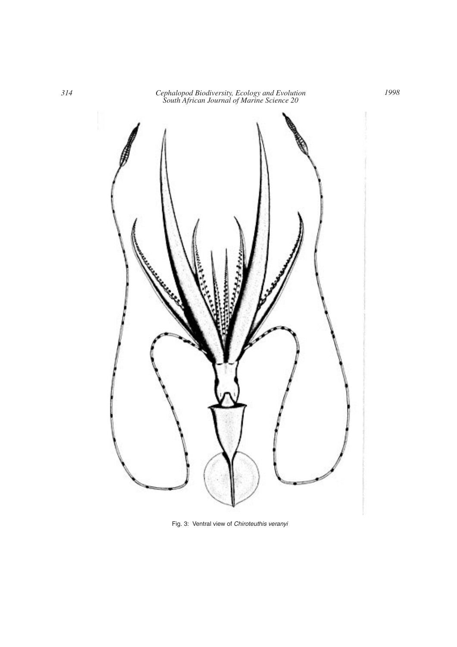*314 Cephalopod Biodiversity, Ecology and Evolution South African Journal of Marine Science 20*



Fig. 3: Ventral view of *Chiroteuthis veranyi*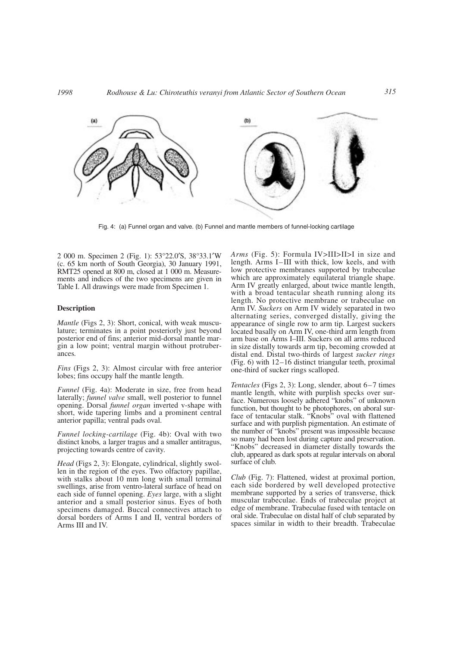

Fig. 4: (a) Funnel organ and valve. (b) Funnel and mantle members of funnel-locking cartilage

2 000 m. Specimen 2 (Fig. 1): 53°22.0′S, 38°33.1′W (c. 65 km north of South Georgia), 30 January 1991, RMT25 opened at 800 m, closed at 1 000 m. Measurements and indices of the two specimens are given in Table I. All drawings were made from Specimen 1.

### **Description**

*Mantle* (Figs 2, 3): Short, conical, with weak musculature; terminates in a point posteriorly just beyond posterior end of fins; anterior mid-dorsal mantle margin a low point; ventral margin without protruberances*.*

*Fins* (Figs 2, 3): Almost circular with free anterior lobes; fins occupy half the mantle length.

*Funnel* (Fig. 4a): Moderate in size, free from head laterally; *funnel valve* small, well posterior to funnel opening. Dorsal *funnel organ* inverted v-shape with short, wide tapering limbs and a prominent central anterior papilla; ventral pads oval.

*Funnel locking-cartilage* (Fig. 4b): Oval with two distinct knobs*,* a larger tragus and a smaller antitragus, projecting towards centre of cavity.

*Head* (Figs 2, 3): Elongate, cylindrical, slightly swollen in the region of the eyes. Two olfactory papillae, with stalks about 10 mm long with small terminal swellings, arise from ventro-lateral surface of head on each side of funnel opening. *Eyes* large, with a slight anterior and a small posterior sinus. Eyes of both specimens damaged. Buccal connectives attach to dorsal borders of Arms I and II, ventral borders of Arms III and IV.

*Arms* (Fig. 5): Formula IV>III>II>I in size and length. Arms I–III with thick, low keels, and with low protective membranes supported by trabeculae which are approximately equilateral triangle shape. Arm IV greatly enlarged, about twice mantle length, with a broad tentacular sheath running along its length. No protective membrane or trabeculae on Arm IV. *Suckers* on Arm IV widely separated in two alternating series, converged distally, giving the appearance of single row to arm tip. Largest suckers located basally on Arm IV, one-third arm length from arm base on Arms I–III. Suckers on all arms reduced in size distally towards arm tip, becoming crowded at distal end. Distal two-thirds of largest *sucker rings* (Fig. 6) with 12–16 distinct triangular teeth, proximal one-third of sucker rings scalloped.

*Tentacles* (Figs 2, 3): Long, slender, about 6–7 times mantle length, white with purplish specks over surface. Numerous loosely adhered "knobs" of unknown function, but thought to be photophores, on aboral surface of tentacular stalk. "Knobs" oval with flattened surface and with purplish pigmentation. An estimate of the number of "knobs" present was impossible because so many had been lost during capture and preservation. "Knobs" decreased in diameter distally towards the club, appeared as dark spots at regular intervals on aboral surface of club.

*Club* (Fig. 7): Flattened, widest at proximal portion, each side bordered by well developed protective membrane supported by a series of transverse, thick muscular trabeculae. Ends of trabeculae project at edge of membrane. Trabeculae fused with tentacle on oral side. Trabeculae on distal half of club separated by spaces similar in width to their breadth. Trabeculae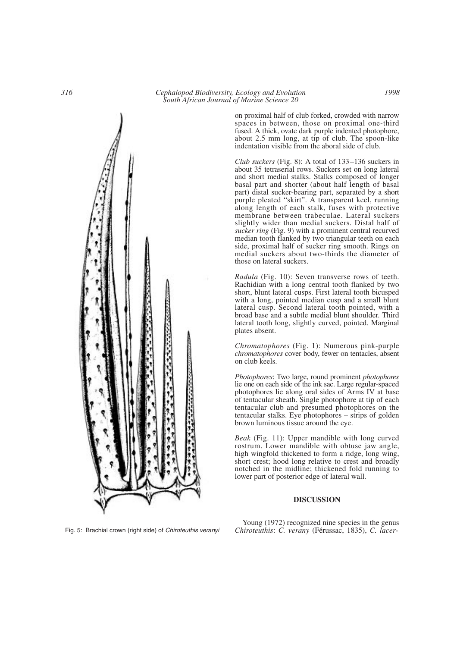on proximal half of club forked, crowded with narrow spaces in between, those on proximal one-third fused. A thick, ovate dark purple indented photophore, about 2.5 mm long, at tip of club. The spoon-like indentation visible from the aboral side of club.

*Club suckers* (Fig. 8): A total of 133–136 suckers in about 35 tetraserial rows. Suckers set on long lateral and short medial stalks. Stalks composed of longer basal part and shorter (about half length of basal part) distal sucker-bearing part, separated by a short purple pleated "skirt". A transparent keel, running along length of each stalk, fuses with protective membrane between trabeculae. Lateral suckers slightly wider than medial suckers. Distal half of *sucker ring* (Fig. 9) with a prominent central recurved median tooth flanked by two triangular teeth on each side, proximal half of sucker ring smooth. Rings on medial suckers about two-thirds the diameter of those on lateral suckers.

*Radula* (Fig. 10): Seven transverse rows of teeth. Rachidian with a long central tooth flanked by two short, blunt lateral cusps. First lateral tooth bicusped with a long, pointed median cusp and a small blunt lateral cusp. Second lateral tooth pointed, with a broad base and a subtle medial blunt shoulder. Third lateral tooth long, slightly curved, pointed. Marginal plates absent.

*Chromatophores* (Fig. 1): Numerous pink-purple *chromatophores* cover body, fewer on tentacles, absent on club keels.

*Photophores*: Two large, round prominent *photophores* lie one on each side of the ink sac. Large regular-spaced photophores lie along oral sides of Arms IV at base of tentacular sheath. Single photophore at tip of each tentacular club and presumed photophores on the tentacular stalks. Eye photophores – strips of golden brown luminous tissue around the eye.

*Beak* (Fig. 11): Upper mandible with long curved rostrum. Lower mandible with obtuse jaw angle, high wingfold thickened to form a ridge, long wing, short crest; hood long relative to crest and broadly notched in the midline; thickened fold running to lower part of posterior edge of lateral wall.

# **DISCUSSION**

Young (1972) recognized nine species in the genus *Chiroteuthis*: *C. verany* (Férussac, 1835), *C. lacer-*



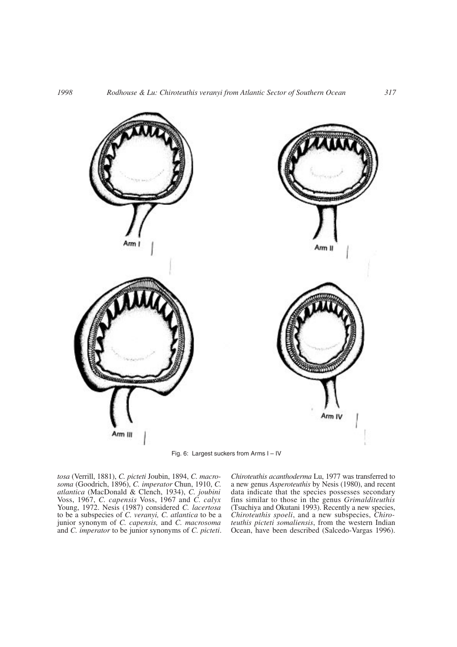

Fig. 6: Largest suckers from Arms I – IV

*tosa* (Verrill, 1881), *C. picteti* Joubin, 1894, *C. macrosoma* (Goodrich, 1896), *C. imperator* Chun, 1910, *C. atlantica* (MacDonald & Clench, 1934), *C. joubini* Voss, 1967, *C. capensis* Voss, 1967 and *C. calyx* Young, 1972. Nesis (1987) considered *C. lacertosa* to be a subspecies of *C. veranyi, C. atlantica* to be a junior synonym of *C. capensis,* and *C. macrosoma* and *C. imperator* to be junior synonyms of *C. picteti*. *Chiroteuthis acanthoderma* Lu, 1977 was transferred to a new genus *Asperoteuthis* by Nesis (1980), and recent data indicate that the species possesses secondary fins similar to those in the genus *Grimalditeuthis* (Tsuchiya and Okutani 1993). Recently a new species, *Chiroteuthis spoeli*, and a new subspecies, *Chiroteuthis picteti somaliensis*, from the western Indian Ocean, have been described (Salcedo-Vargas 1996).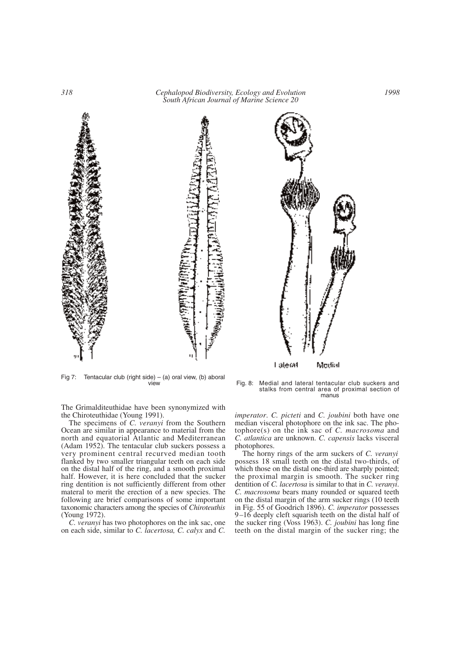

Fig 7: Tentacular club (right side) – (a) oral view, (b) aboral<br>view

The Grimalditeuthidae have been synonymized with the Chiroteuthidae (Young 1991).

The specimens of *C. veranyi* from the Southern Ocean are similar in appearance to material from the north and equatorial Atlantic and Mediterranean (Adam 1952). The tentacular club suckers possess a very prominent central recurved median tooth flanked by two smaller triangular teeth on each side on the distal half of the ring, and a smooth proximal half. However, it is here concluded that the sucker ring dentition is not sufficiently different from other materal to merit the erection of a new species. The following are brief comparisons of some important taxonomic characters among the species of *Chiroteuthis* (Young 1972).

*C. veranyi* has two photophores on the ink sac, one on each side, similar to *C. lacertosa, C. calyx* and *C.*



Fig. 8: Medial and lateral tentacular club suckers and stalks from central area of proximal section of manus

*imperator*. *C. picteti* and *C. joubini* both have one median visceral photophore on the ink sac. The photophore(s) on the ink sac of *C. macrosoma* and *C. atlantica* are unknown. *C. capensis* lacks visceral photophores.

The horny rings of the arm suckers of *C. veranyi* possess 18 small teeth on the distal two-thirds, of which those on the distal one-third are sharply pointed; the proximal margin is smooth. The sucker ring dentition of *C. lacertosa* is similar to that in *C. veranyi*. *C. macrosoma* bears many rounded or squared teeth on the distal margin of the arm sucker rings (10 teeth in Fig. 55 of Goodrich 1896). *C. imperator* possesses 9–16 deeply cleft squarish teeth on the distal half of the sucker ring (Voss 1963). *C. joubini* has long fine teeth on the distal margin of the sucker ring; the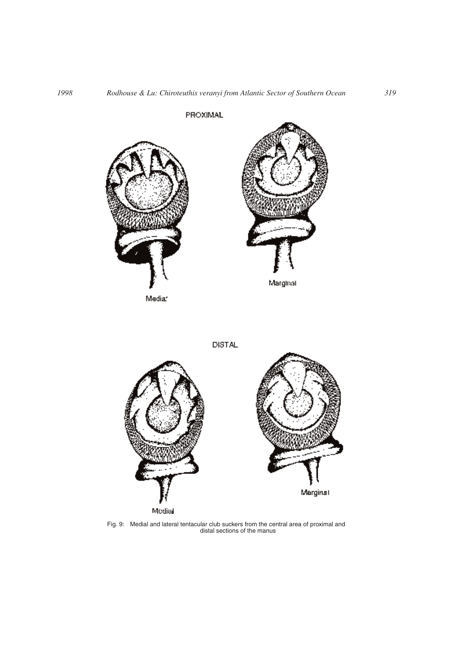

Fig. 9: Medial and lateral tentacular club suckers from the central area of proximal and distal sections of the manus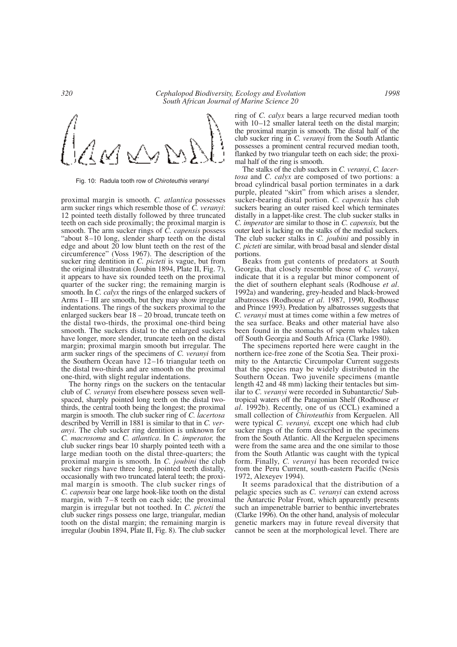

Fig. 10: Radula tooth row of *Chiroteuthis veranyi*

proximal margin is smooth. *C. atlantica* possesses arm sucker rings which resemble those of *C. veranyi*: 12 pointed teeth distally followed by three truncated teeth on each side proximally; the proximal margin is smooth. The arm sucker rings of *C. capensis* possess "about 8–10 long, slender sharp teeth on the distal edge and about 20 low blunt teeth on the rest of the circumference" (Voss 1967). The description of the sucker ring dentition in *C. picteti* is vague, but from the original illustration (Joubin 1894, Plate II, Fig. 7), it appears to have six rounded teeth on the proximal quarter of the sucker ring; the remaining margin is smooth. In *C. calyx* the rings of the enlarged suckers of Arms I – III are smooth, but they may show irregular indentations. The rings of the suckers proximal to the enlarged suckers bear 18 – 20 broad, truncate teeth on the distal two-thirds, the proximal one-third being smooth. The suckers distal to the enlarged suckers have longer, more slender, truncate teeth on the distal margin; proximal margin smooth but irregular. The arm sucker rings of the specimens of *C. veranyi* from the Southern Ocean have 12–16 triangular teeth on the distal two-thirds and are smooth on the proximal one-third, with slight regular indentations.

The horny rings on the suckers on the tentacular club of *C. veranyi* from elsewhere possess seven wellspaced, sharply pointed long teeth on the distal twothirds, the central tooth being the longest; the proximal margin is smooth. The club sucker ring of *C. lacertosa* described by Verrill in 1881 is similar to that in *C. veranyi*. The club sucker ring dentition is unknown for *C. macrosoma* and *C. atlantica*. In *C. imperator,* the club sucker rings bear 10 sharply pointed teeth with a large median tooth on the distal three-quarters; the proximal margin is smooth. In *C. joubini* the club sucker rings have three long, pointed teeth distally, occasionally with two truncated lateral teeth; the proximal margin is smooth. The club sucker rings of *C. capensis* bear one large hook-like tooth on the distal margin, with 7–8 teeth on each side; the proximal margin is irregular but not toothed. In *C. picteti* the club sucker rings possess one large, triangular, median tooth on the distal margin; the remaining margin is irregular (Joubin 1894, Plate II, Fig. 8). The club sucker

ring of *C. calyx* bears a large recurved median tooth with  $10-12$  smaller lateral teeth on the distal margin; the proximal margin is smooth. The distal half of the club sucker ring in *C. veranyi* from the South Atlantic possesses a prominent central recurved median tooth, flanked by two triangular teeth on each side; the proximal half of the ring is smooth.

The stalks of the club suckers in *C. veranyi*, *C. lacertosa* and *C. calyx* are composed of two portions: a broad cylindrical basal portion terminates in a dark purple, pleated "skirt" from which arises a slender, sucker-bearing distal portion. *C. capensis* has club suckers bearing an outer raised keel which terminates distally in a lappet-like crest. The club sucker stalks in *C. imperator* are similar to those in *C. capensis,* but the outer keel is lacking on the stalks of the medial suckers. The club sucker stalks in *C. joubini* and possibly in *C. picteti* are similar, with broad basal and slender distal portions.

Beaks from gut contents of predators at South Georgia, that closely resemble those of *C. veranyi*, indicate that it is a regular but minor component of the diet of southern elephant seals (Rodhouse *et al*. 1992a) and wandering, grey-headed and black-browed albatrosses (Rodhouse *et al*. 1987, 1990, Rodhouse and Prince 1993). Predation by albatrosses suggests that *C. veranyi* must at times come within a few metres of the sea surface. Beaks and other material have also been found in the stomachs of sperm whales taken off South Georgia and South Africa (Clarke 1980).

The specimens reported here were caught in the northern ice-free zone of the Scotia Sea. Their proximity to the Antarctic Circumpolar Current suggests that the species may be widely distributed in the Southern Ocean. Two juvenile specimens (mantle length 42 and 48 mm) lacking their tentacles but similar to *C. veranyi* were recorded in Subantarctic/ Subtropical waters off the Patagonian Shelf (Rodhouse *et al*. 1992b). Recently, one of us (CCL) examined a small collection of *Chiroteuthis* from Kerguelen. All were typical *C. veranyi,* except one which had club sucker rings of the form described in the specimens from the South Atlantic. All the Kerguelen specimens were from the same area and the one similar to those from the South Atlantic was caught with the typical form. Finally, *C. veranyi* has been recorded twice from the Peru Current, south-eastern Pacific (Nesis 1972, Alexeyev 1994).

It seems paradoxical that the distribution of a pelagic species such as *C. veranyi* can extend across the Antarctic Polar Front, which apparently presents such an impenetrable barrier to benthic invertebrates (Clarke 1996). On the other hand, analysis of molecular genetic markers may in future reveal diversity that cannot be seen at the morphological level. There are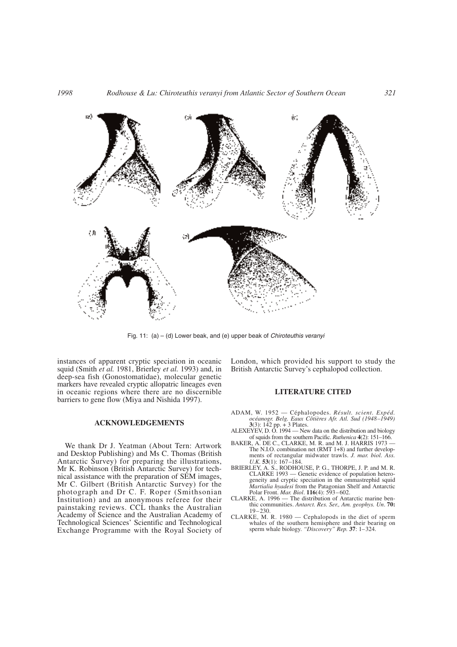

Fig. 11: (a) – (d) Lower beak, and (e) upper beak of *Chiroteuthis veranyi*

instances of apparent cryptic speciation in oceanic squid (Smith *et al.* 1981, Brierley *et al.* 1993) and, in deep-sea fish (Gonostomatidae), molecular genetic markers have revealed cryptic allopatric lineages even in oceanic regions where there are no discernible barriers to gene flow (Miya and Nishida 1997).

### **ACKNOWLEDGEMENTS**

We thank Dr J. Yeatman (About Tern: Artwork and Desktop Publishing) and Ms C. Thomas (British Antarctic Survey) for preparing the illustrations, Mr K. Robinson (British Antarctic Survey) for technical assistance with the preparation of SEM images, Mr C. Gilbert (British Antarctic Survey) for the photograph and Dr C. F. Roper (Smithsonian Institution) and an anonymous referee for their painstaking reviews. CCL thanks the Australian Academy of Science and the Australian Academy of Technological Sciences' Scientific and Technological Exchange Programme with the Royal Society of London, which provided his support to study the British Antarctic Survey's cephalopod collection.

# **LITERATURE CITED**

- ADAM, W. 1952 Céphalopodes. *Résult. scient. Expéd. océanogr. Belg. Eaux Côtières Afr. Atl. Sud (1948–1949)* **3**(3): 142 pp. + 3 Plates.
- ALEXEYEV, D. O. 1994 New data on the distribution and biology of squids from the southern Pacific. *Ruthenica* **4**(2): 151–166.
- BAKER, A. DE C., CLARKE, M. R. and M. J. HARRIS 1973 -The N.I.O. combination net (RMT 1+8) and further developments of rectangular midwater trawls. *J. mar. biol. Ass. U.K.* **53**(1): 167–184.
- BRIERLEY, A. S., RODHOUSE, P. G., THORPE, J. P. and M. R. CLARKE 1993 — Genetic evidence of population heterogeneity and cryptic speciation in the ommastrephid squid *Martialia hyadesi* from the Patagonian Shelf and Antarctic Polar Front. *Mar. Biol*. **116**(4): 593–602.
- CLARKE, A. 1996 The distribution of Antarctic marine benthic communities. *Antarct. Res. Ser., Am. geophys. Un*. **70:** 19–230.
- CLARKE, M. R. 1980 Cephalopods in the diet of sperm whales of the southern hemisphere and their bearing on sperm whale biology. *"Discovery" Rep.* **37**: 1–324.